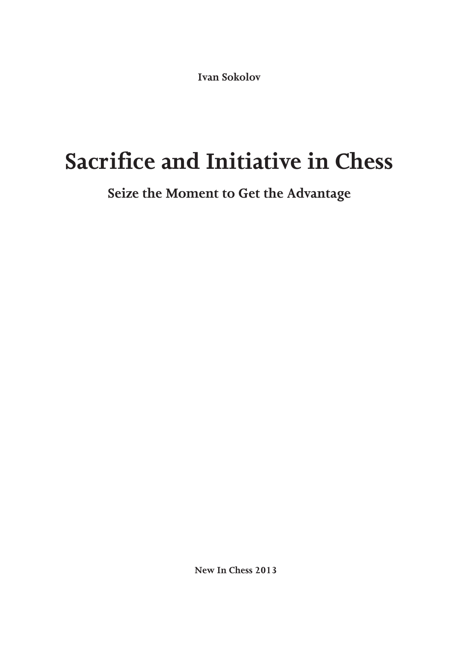**Ivan Sokolov** 

# **Sacrifice and Initiative in Chess**

Seize the Moment to Get the Advantage

New In Chess 2013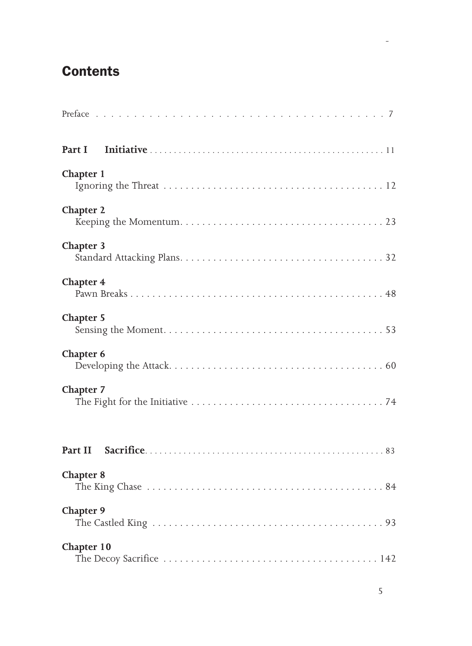### **Contents**

| Part I     |
|------------|
| Chapter 1  |
| Chapter 2  |
| Chapter 3  |
| Chapter 4  |
| Chapter 5  |
| Chapter 6  |
| Chapter 7  |
|            |
| Chapter 8  |
| Chapter 9  |
| Chapter 10 |

 $\Box$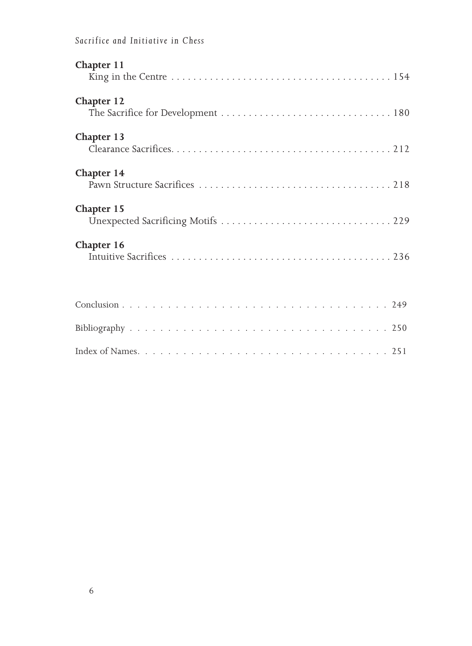#### Sacrifice and Initiative in Chess

| Chapter 11 |
|------------|
| Chapter 12 |
| Chapter 13 |
| Chapter 14 |
| Chapter 15 |
| Chapter 16 |
|            |
|            |
|            |
|            |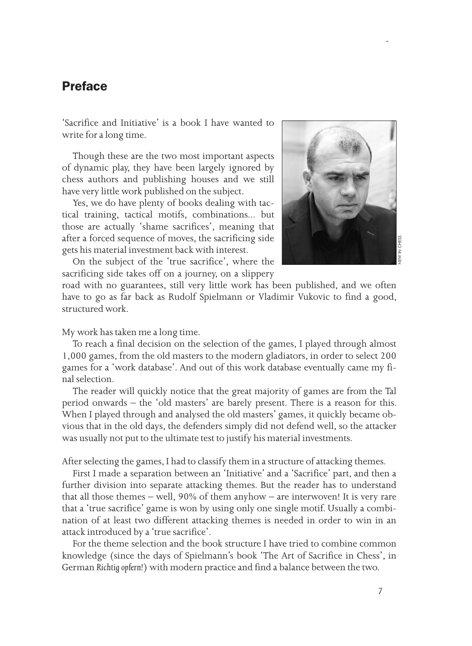#### Preface

'Sacrifice and Initiative' is a book I have wanted to write for a long time.

Though these are the two most important aspects of dynamic play, they have been largely ignored by chess authors and publishing houses and we still have very little work published on the subject.

Yes, we do have plenty of books dealing with tactical training, tactical motifs, combinations... but those are actually 'shame sacrifices', meaning that after a forced sequence of moves, the sacrificing side gets his material investment back with interest.

On the subject of the 'true sacrifice', where the sacrificing side takes off on a journey, on a slippery



 *-* 

road with no guarantees, still very little work has been published, and we often have to go as far back as Rudolf Spielmann or Vladimir Vukovic to find a good, structured work.

My work has taken me a long time.

To reach a final decision on the selection of the games, I played through almost 1,000 games, from the old masters to the modern gladiators, in order to select 200 games for a 'work database'. And out of this work database eventually came my final selection.

The reader will quickly notice that the great majority of games are from the Tal period onwards – the 'old masters' are barely present. There is a reason for this. When I played through and analysed the old masters' games, it quickly became obvious that in the old days, the defenders simply did not defend well, so the attacker was usually not put to the ultimate test to justify his material investments.

After selecting the games, I had to classify them in a structure of attacking themes.

First I made a separation between an 'Initiative' and a 'Sacrifice' part, and then a further division into separate attacking themes. But the reader has to understand that all those themes  $-$  well, 90% of them any how  $-$  are interwoven! It is very rare that a 'true sacrifice' game is won by using only one single motif. Usually a combination of at least two different attacking themes is needed in order to win in an attack introduced by a 'true sacrifice'.

For the theme selection and the book structure I have tried to combine common knowledge (since the days of Spielmann's book 'The Art of Sacrifice in Chess', in German *Richtig opfern!*) with modern practice and find a balance between the two.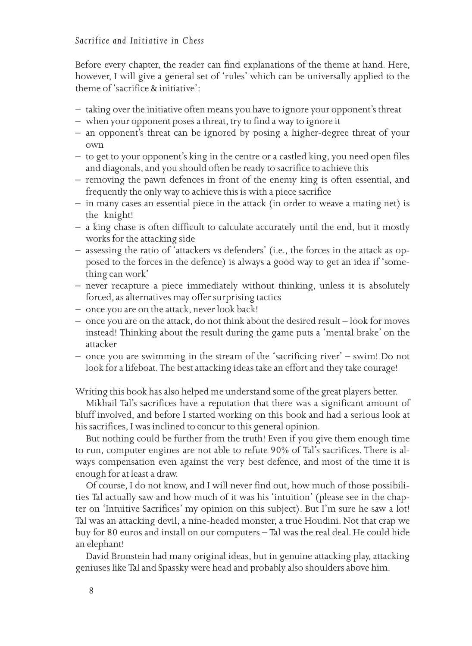*Sac ri fice and Ini tia tive in Chess*

Before every chapter, the reader can find explanations of the theme at hand. Here, however, I will give a general set of 'rules' which can be universally applied to the theme of 'sacrifice & initiative':

- taking over the initiative of ten means you have to ignore your opponent's threat
- when your opponent poses a threat, try to find a way to ignore it
- $-$  an opponent's threat can be ignored by posing a higher-degree threat of your own
- to get to your opponent's king in the centre or a castled king, you need open files and diagonals, and you should often be ready to sacrifice to achieve this
- removing the pawn defences in front of the enemy king is often essential, and frequently the only way to achieve this is with a piece sacrifice
- $-$  in many cases an essential piece in the attack (in order to weave a mating net) is the knight!
- $-$  a king chase is often difficult to calculate accurately until the end, but it mostly works for the attacking side
- assessing the ratio of 'attackers vs defenders' (i.e., the forces in the attack as opposed to the forces in the defence) is always a good way to get an idea if 'something can work'
- never recapture a piece immediately without thinking, unless it is absolutely forced, as alternatives may offer surprising tactics
- once you are on the attack, never look back!
- $-$  once you are on the attack, do not think about the desired result  $-$  look for moves instead! Thinking about the result during the game puts a 'mental brake' on the attacker
- $-$  once you are swimming in the stream of the 'sacrificing river'  $-$  swim! Do not look for a lifeboat. The best attacking ideas take an effort and they take courage!

Writing this book has also helped me understand some of the great players better.

Mikhail Tal's sacrifices have a reputation that there was a significant amount of bluff involved, and before I started working on this book and had a serious look at his sacrifices, I was inclined to concur to this general opinion.

But nothing could be further from the truth! Even if you give them enough time to run, computer engines are not able to refute 90% of Tal's sacrifices. There is always compensation even against the very best defence, and most of the time it is enough for at least a draw.

Of course, I do not know, and I will never find out, how much of those possibilities Tal actually saw and how much of it was his 'intuition' (please see in the chapter on 'Intuitive Sacrifices' my opinion on this subject). But I'm sure he saw a lot! Tal was an attacking devil, a nine-headed monster, a true Houdini. Not that crap we buy for 80 euros and install on our computers – Tal was the real deal. He could hide an elephant!

David Bronstein had many original ideas, but in genuine attacking play, attacking geniuses like Tal and Spassky were head and probably also shoulders above him.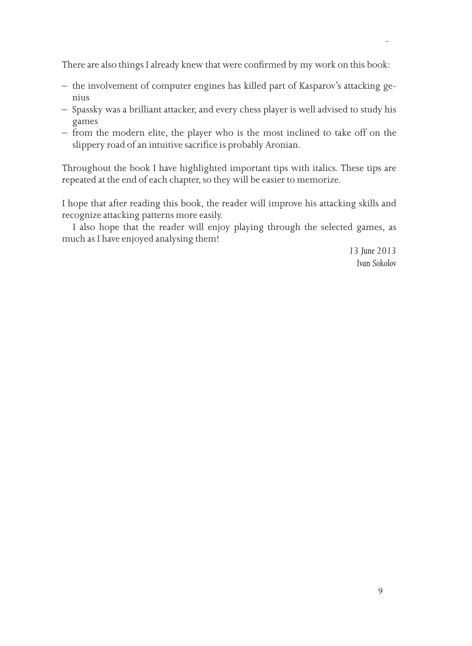There are also things I already knew that were confirmed by my work on this book:

- the involvement of computer engines has killed part of Kasparov's attacking genius
- Spassky was a brilliant attacker, and every chess player is well advised to study his games
- $-$  from the modern elite, the player who is the most inclined to take off on the slippery road of an intuitive sacrifice is probably Aronian.

Throughout the book I have highlighted important tips with italics. These tips are repeated at the end of each chapter, so they will be easier to memorize.

I hope that after reading this book, the reader will improve his attacking skills and recognize attacking patterns more easily.

I also hope that the reader will enjoy playing through the selected games, as much as I have enjoyed analysing them!

> *13 June 2013 Ivan Sokolov*

 *-*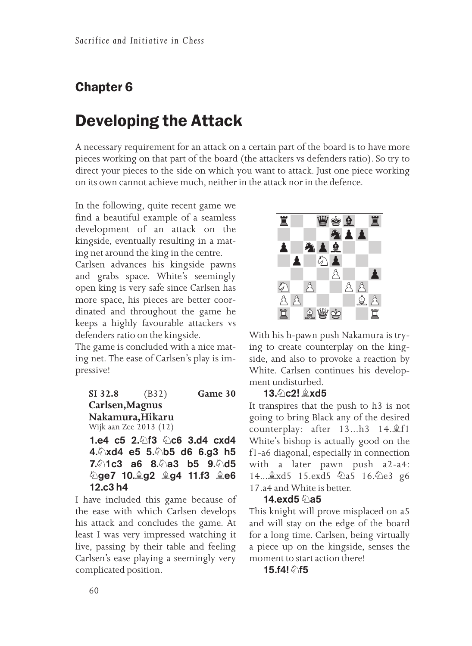### **Chapter 6**

## **Developing the Attack**

A necessary requirement for an attack on a certain part of the board is to have more pieces working on that part of the board (the attackers vs defenders ratio). So try to direct your pieces to the side on which you want to attack. Just one piece working on its own cannot achieve much, neither in the attack nor in the defence.

In the following, quite recent game we find a beautiful example of a seamless development of an attack on the kingside, eventually resulting in a mating net around the king in the centre.

Carlsen advances his kingside pawns and grabs space. White's seemingly open king is very safe since Carlsen has more space, his pieces are better coordinated and throughout the game he keeps a highly favourable attackers vs defenders ratio on the kingside.

The game is concluded with a nice mating net. The ease of Carlsen's play is impressive!

Game 30 SI 32.8  $(B32)$ Carlsen, Magnus Nakamura, Hikaru Wijk aan Zee 2013 (12) 1.e4 c5 2. 行3 2c6 3.d4 cxd4 4. Axd4 e5 5. Ab5 d6 6. g3 h5 7.21c3 a6 8.2a3 b5 9.2d5 12.c3 h4

I have included this game because of the ease with which Carlsen develops his attack and concludes the game. At least I was very impressed watching it live, passing by their table and feeling Carlsen's ease playing a seemingly very complicated position.



With his h-pawn push Nakamura is trying to create counterplay on the kingside, and also to provoke a reaction by White. Carlsen continues his development undisturbed.

#### 13. 2c2! **gxd5**

It transpires that the push to h3 is not going to bring Black any of the desired counterplay: after 13...h3 14. $\&$ f1 White's bishop is actually good on the f1-a6 diagonal, especially in connection with a later pawn push a2-a4: 14. gxd5 15.exd5 2a5 16. e3 g6 17.a4 and White is better.

#### 14.exd5 4a5

This knight will prove misplaced on a5 and will stay on the edge of the board for a long time. Carlsen, being virtually a piece up on the kingside, senses the moment to start action there!

#### 15.f4! 2f5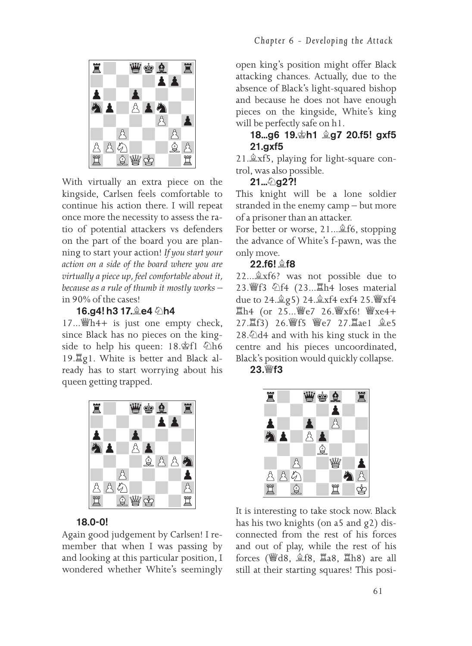

With virtually an extra piece on the kingside, Carlsen feels comfortable to continue his action there. I will repeat once more the necessity to assess the ratio of potential attackers vs defenders on the part of the board you are planning to start your ac tion! *If you start your ac tion on a side of the board where you are vir tu ally a piece up, feel com fort able about it, be cause as a rule of thumb it mostly works* – in 90% of the cases!

#### 16.g4! h3 17. $\triangleq$ e4  $\triangleq$ h4

17... $\mathcal{W}h4+$  is just one empty check, since Black has no pieces on the kingside to help his queen: 18. 宫f1 公h6 19. $\mathbb{Z}$ g1. White is better and Black already has to start worrying about his queen getting trapped.



#### 18.0-0!

Again good judgement by Carlsen! I remember that when I was passing by and looking at this particular position, I wondered whether White's seemingly open king's position might offer Black attacking chances. Actually, due to the absence of Black's light-squared bishop and because he does not have enough pieces on the kingside, White's king will be perfectly safe on h1.

#### 18...g6 19.®h1 Ãg7 20.f5! gxf5 21.gxf5

 $21.\n$ <del>\$xf5</del>, playing for light-square control, was also possible.

#### $21...$

This knight will be a lone soldier stranded in the enemy camp – but more of a prisoner than an attacker.

For better or worse,  $21...$  $46$ , stopping the advance of White's f- pawn, was the only move.

#### 22.f6! **gf8**

 $22...\&x\overline{x}6$ ? was not possible due to 23. f3 公f4 (23... Ih4 loses material due to 24. g5) 24. kxf4 exf4 25. Wyxf4 **Ih4** (or 25... – ©e7 26. 当xf6! 当xe4+ 27. If3) 26. 瞥f5 瞥e7 27. Iae1 盒e5  $28.\overline{\&}$ d4 and with his king stuck in the centre and his pieces uncoordinated, Black's position would quickly collapse.

#### 23. *¥*f3



It is interesting to take stock now. Black has his two knights (on a5 and g2) disconnected from the rest of his forces and out of play, while the rest of his forces ( $\mathcal{H}$ d8,  $\mathcal{L}$ f8,  $\mathcal{L}$ a8,  $\mathcal{L}$ h8) are all still at their starting squares! This posi-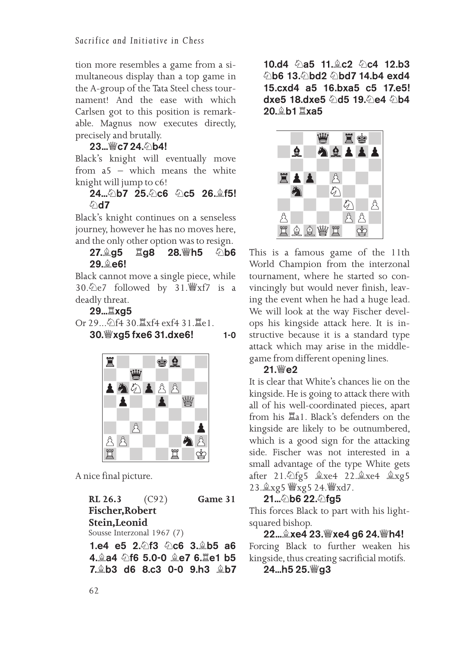tion more resembles a game from a simultaneous display than a top game in the A-group of the Tata Steel chess tournament! And the ease with which Carlsen got to this position is remarkable. Magnus now executes directly, precisely and brutally.

#### 23... Wc7 24. 2b4!

Black's knight will eventually move from a5 - which means the white knight will jump to c6!

#### 24... 2b7 25. 2c6 2c5 26. gf5! **Ad7**

Black's knight continues on a senseless journey, however he has no moves here, and the only other option was to resign.

#### 27.**≜g5** 28. Wh5 ி்h6 29. e6!

Black cannot move a single piece, while 30. e7 followed by 31. *Wexf7* is a deadly threat.

#### 29... Xg5

Or 
$$
29...\text{4 }30.\text{Exf4 exf4 }31.\text{Ze1}.
$$
 30.



A nice final picture.

 $(C92)$ Game 31 RL 26.3 **Fischer, Robert** Stein.Leonid Sousse Interzonal 1967 (7) 1.e4 e5 2. 行3 2c6 3. gb5 a6 4. a4 公f6 5.0-0 ge7 6. le1 b5 7. b3 d6 8.c3 0-0 9.h3 鱼b7 10.d4  $\Diamond$ a5 11. e c2  $\Diamond$ c4 12.b3 වා6 13.වා bd2 වා bd7 14.b4 exd4 15.cxd4 a5 16.bxa5 c5 17.e5! dxe5 18.dxe5 4d5 19.4e4 4b4 20. b1 **罝xa5** 



This is a famous game of the 11th World Champion from the interzonal tournament, where he started so convincingly but would never finish, leaving the event when he had a huge lead. We will look at the way Fischer develops his kingside attack here. It is instructive because it is a standard type attack which may arise in the middlegame from different opening lines.

#### 21. *We2*

It is clear that White's chances lie on the kingside. He is going to attack there with all of his well-coordinated pieces, apart from his  $\Xi$ a1. Black's defenders on the kingside are likely to be outnumbered, which is a good sign for the attacking side. Fischer was not interested in a small advantage of the type White gets after 21.2fg5 <u>2xe4</u> 22.2xe4 2xg5 23. gxg5 曾xg5 24. 曾xd7.

#### 21... Db6 22. Dfg5

This forces Black to part with his lightsquared bishop.

22...இxe4 23. @xe4 g6 24. @h4! Forcing Black to further weaken his kingside, thus creating sacrificial motifs.

#### 24...h5 25. *w*g3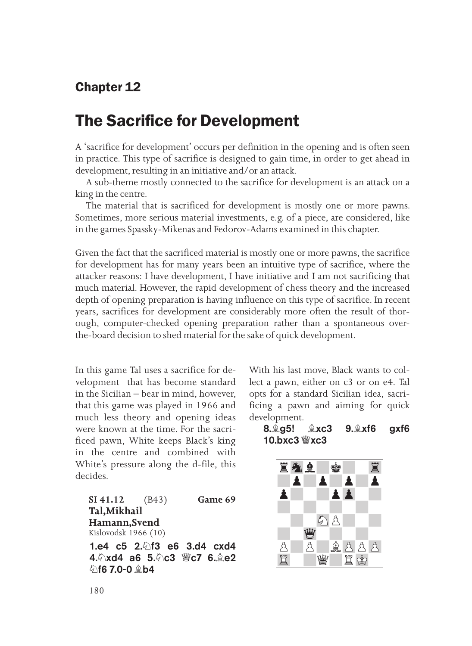### **Chapter 12**

### **The Sacrifice for Development**

A 'sacrifice for development' occurs per definition in the opening and is often seen in practice. This type of sacrifice is designed to gain time, in order to get ahead in development, resulting in an initiative and/or an attack.

A sub-theme mostly connected to the sacrifice for development is an attack on a king in the centre.

The material that is sacrificed for development is mostly one or more pawns. Sometimes, more serious material investments, e.g. of a piece, are considered, like in the games Spassky-Mikenas and Fedorov-Adams examined in this chapter.

Given the fact that the sacrificed material is mostly one or more pawns, the sacrifice for development has for many years been an intuitive type of sacrifice, where the attacker reasons: I have development, I have initiative and I am not sacrificing that much material. However, the rapid development of chess theory and the increased depth of opening preparation is having influence on this type of sacrifice. In recent years, sacrifices for development are considerably more often the result of thorough, computer-checked opening preparation rather than a spontaneous overthe-board decision to shed material for the sake of quick development.

In this game Tal uses a sacrifice for development that has become standard in the Sicilian – bear in mind, however, that this game was played in 1966 and much less theory and opening ideas were known at the time. For the sacrificed pawn, White keeps Black's king in the centre and combined with White's pressure along the d-file, this de cides.

**SI 41.12** (B43) **Game 69 Tal,Mikhail Hamann,Svend** Kislovodsk 1966 (10) 1.e4 c5 2. f3 e6 3.d4 cxd4 4.公xd4 a6 5.公c3 響c7 6.奠e2 **公f6 7.0-0 盒b4** 

With his last move, Black wants to collect a pawn, either on c3 or on e4. Tal opts for a standard Sicilian idea, sacrificing a pawn and aiming for quick development.

8. g5! <u>Âxc3</u> 9. Axf6 gxf6 10.bxc3  $\mathbb{W}$ xc3

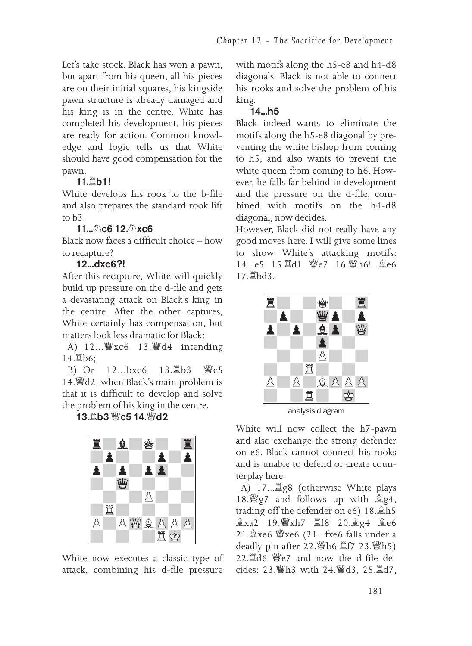Let's take stock. Black has won a pawn, but apart from his queen, all his pieces are on their initial squares, his kingside pawn structure is already damaged and his king is in the centre. White has completed his development, his pieces are ready for action. Common knowledge and logic tells us that White should have good compensation for the pawn.

#### 11. b1!

White develops his rook to the b-file and also prepares the standard rook lift to b3.

#### 11...۞c6 12.۞xc6

Black now faces a difficult choice  $-$  how to recapture?

#### 12...dxc6?!

After this recapture, White will quickly build up pressure on the d-file and gets a devastating attack on Black's king in the centre. After the other captures, White certainly has compensation, but matters look less dramatic for Black:

A) 12... Waxc6 13. Wid4 intending  $14.\n **2**b6$ :

B) Or 12...bxc6 13.Õb3 ©c5 14. Wed2, when Black's main problem is that it is difficult to develop and solve the problem of his king in the centre.

#### 13. lb3 響c5 14. 響d2



White now executes a classic type of attack, combining his d-file pressure

with motifs along the h5-e8 and h4-d8 diagonals. Black is not able to connect his rooks and solve the problem of his king.

#### 14...h5

Black indeed wants to eliminate the motifs along the h5-e8 diagonal by preventing the white bishop from coming to h5, and also wants to prevent the white queen from coming to h6. However, he falls far behind in development and the pressure on the d-file, combined with motifs on the h4-d8 diagonal, now decides.

However, Black did not really have any good moves here. I will give some lines to show White's attacking motifs: 14...e5 15. d1 響e7 16. 瞥h6! ge6 17.Õbd3.



analysis diagram

White will now collect the h7-pawn and also exchange the strong defender on e6. Black cannot connect his rooks and is unable to defend or create counterplay here.

A) 17... Lg8 (otherwise White plays 18.  $\mathscr{C}$  and follows up with  $\mathscr{L}$ g4, trading off the defender on e6)  $18.\n$ <sup>食xa2</sup> 19. kh7 *置f8* 20. 食g4 食e6 21. $\&$ xe6  $\&$ xe6 (21...fxe6 falls under a deadly pin after 22. *WH6 KH7* 23. *WH5*) 22. d6 We7 and now the d-file decides: 23. h3 with 24. hadd3, 25.  $\mathbb{Z}d7$ ,